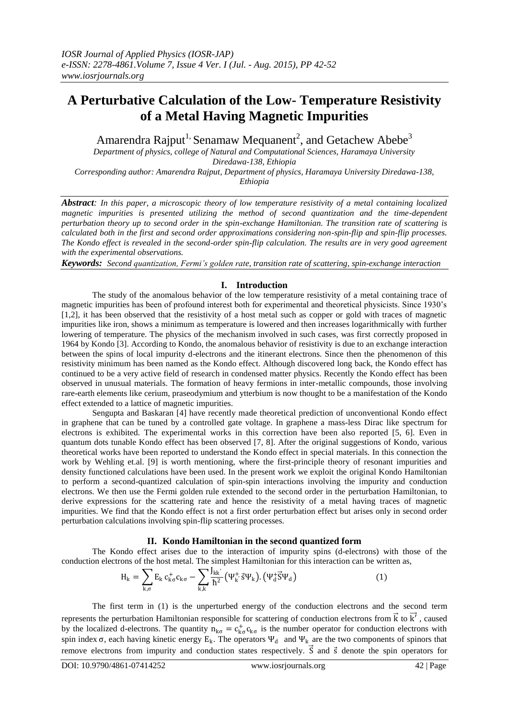# **A Perturbative Calculation of the Low- Temperature Resistivity of a Metal Having Magnetic Impurities**

Amarendra Rajput<sup>1,</sup> Senamaw Mequanent<sup>2</sup>, and Getachew Abebe<sup>3</sup>

*Department of physics, college of Natural and Computational Sciences, Haramaya University Diredawa-138, Ethiopia*

*Corresponding author: Amarendra Rajput, Department of physics, Haramaya University Diredawa-138, Ethiopia*

*Abstract: In this paper, a microscopic theory of low temperature resistivity of a metal containing localized magnetic impurities is presented utilizing the method of second quantization and the time-dependent perturbation theory up to second order in the spin-exchange Hamiltonian. The transition rate of scattering is calculated both in the first and second order approximations considering non-spin-flip and spin-flip processes. The Kondo effect is revealed in the second-order spin-flip calculation. The results are in very good agreement with the experimental observations.*

*Keywords: Second quantization, Fermi's golden rate, transition rate of scattering, spin-exchange interaction*

## **I. Introduction**

The study of the anomalous behavior of the low temperature resistivity of a metal containing trace of magnetic impurities has been of profound interest both for experimental and theoretical physicists. Since 1930's [1,2], it has been observed that the resistivity of a host metal such as copper or gold with traces of magnetic impurities like iron, shows a minimum as temperature is lowered and then increases logarithmically with further lowering of temperature. The physics of the mechanism involved in such cases, was first correctly proposed in 1964 by Kondo [3]. According to Kondo, the anomalous behavior of resistivity is due to an exchange interaction between the spins of local impurity d-electrons and the itinerant electrons. Since then the phenomenon of this resistivity minimum has been named as the Kondo effect. Although discovered long back, the Kondo effect has continued to be a very active field of research in condensed matter physics. Recently the Kondo effect has been observed in unusual materials. The formation of heavy fermions in inter-metallic compounds, those involving rare-earth elements like cerium, praseodymium and ytterbium is now thought to be a manifestation of the Kondo effect extended to a lattice of magnetic impurities.

Sengupta and Baskaran [4] have recently made theoretical prediction of unconventional Kondo effect in graphene that can be tuned by a controlled gate voltage. In graphene a mass-less Dirac like spectrum for electrons is exhibited. The experimental works in this correction have been also reported [5, 6]. Even in quantum dots tunable Kondo effect has been observed [7, 8]. After the original suggestions of Kondo, various theoretical works have been reported to understand the Kondo effect in special materials. In this connection the work by Wehling et.al. [9] is worth mentioning, where the first-principle theory of resonant impurities and density functioned calculations have been used. In the present work we exploit the original Kondo Hamiltonian to perform a second-quantized calculation of spin-spin interactions involving the impurity and conduction electrons. We then use the Fermi golden rule extended to the second order in the perturbation Hamiltonian, to derive expressions for the scattering rate and hence the resistivity of a metal having traces of magnetic impurities. We find that the Kondo effect is not a first order perturbation effect but arises only in second order perturbation calculations involving spin-flip scattering processes.

## **II. Kondo Hamiltonian in the second quantized form**

The Kondo effect arises due to the interaction of impurity spins (d-electrons) with those of the conduction electrons of the host metal. The simplest Hamiltonian for this interaction can be written as,

$$
H_{k} = \sum_{k,\sigma} E_{k} c_{k\sigma}^{+} c_{k\sigma} - \sum_{k,k'} \frac{J_{kk'}}{\hbar^{2}} (\Psi_{k}^{+} \vec{s} \Psi_{k}). (\Psi_{d}^{+} \vec{s} \Psi_{d})
$$
(1)

The first term in (1) is the unperturbed energy of the conduction electrons and the second term represents the perturbation Hamiltonian responsible for scattering of conduction electrons from  $\vec{k}$  to  $\vec{k'}$ , caused by the localized d-electrons. The quantity  $n_{k\sigma} = c_{k\sigma}^+ c_{k\sigma}$  is the number operator for conduction electrons with spin index  $\sigma$ , each having kinetic energy  $E_k$ . The operators  $\Psi_d$  and  $\Psi_k$  are the two components of spinors that remove electrons from impurity and conduction states respectively.  $\vec{S}$  and  $\vec{S}$  denote the spin operators for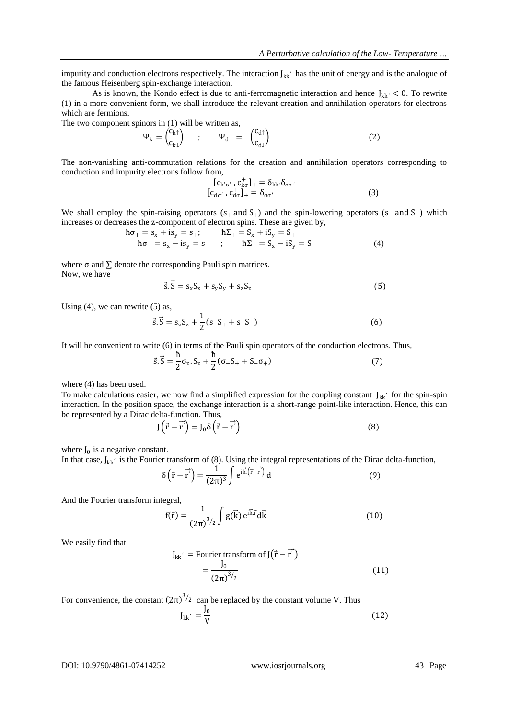impurity and conduction electrons respectively. The interaction  $J_{kk'}$  has the unit of energy and is the analogue of the famous Heisenberg spin-exchange interaction.

As is known, the Kondo effect is due to anti-ferromagnetic interaction and hence  $J_{kk'}$  < 0. To rewrite (1) in a more convenient form, we shall introduce the relevant creation and annihilation operators for electrons which are fermions.

The two component spinors in (1) will be written as,

$$
\Psi_{k} = \begin{pmatrix} c_{k1} \\ c_{k1} \end{pmatrix} \quad ; \quad \Psi_{d} = \begin{pmatrix} c_{d1} \\ c_{d1} \end{pmatrix} \tag{2}
$$

The non-vanishing anti-commutation relations for the creation and annihilation operators corresponding to conduction and impurity electrons follow from,

> $[c_{k' \sigma'} , c_{k\sigma}^{+}]_{+} = \delta_{kk'} \delta_{\sigma\sigma'}$  $[c_{d\sigma'}^{\dagger}, c_{d\sigma}^{\dagger}]_{+} = \delta_{\sigma\sigma'}$  (3)

We shall employ the spin-raising operators  $(s_+$  and  $S_+)$  and the spin-lowering operators  $(s_-$  and  $S_-)$  which increases or decreases the z-component of electron spins. These are given by,

$$
\begin{aligned}\n\hbar \sigma_+ &= s_x + i s_y = s_+; & \hbar \Sigma_+ &= S_x + i S_y = S_+ \\
\hbar \sigma_- &= s_x - i s_y = s_- & ; & \hbar \Sigma_- &= S_x - i S_y = S_- \\
\end{aligned} \tag{4}
$$

where  $\sigma$  and  $\Sigma$  denote the corresponding Pauli spin matrices. Now, we have

$$
\vec{s}.\vec{S} = s_x S_x + s_y S_y + s_z S_z \tag{5}
$$

Using  $(4)$ , we can rewrite  $(5)$  as,

$$
\vec{s}.\vec{S} = s_z S_z + \frac{1}{2}(s_- S_+ + s_+ S_-)
$$
 (6)

It will be convenient to write (6) in terms of the Pauli spin operators of the conduction electrons. Thus,

$$
\vec{s}.\vec{S} = \frac{\hbar}{2}\sigma_z.S_z + \frac{\hbar}{2}(\sigma_-S_+ + S_-\sigma_+) \tag{7}
$$

where (4) has been used.

To make calculations easier, we now find a simplified expression for the coupling constant  $J_{kk'}$  for the spin-spin interaction. In the position space, the exchange interaction is a short-range point-like interaction. Hence, this can be represented by a Dirac delta-function. Thus,

$$
J(\vec{r} - \vec{r}) = J_0 \delta(\vec{r} - \vec{r})
$$
\n(8)

where  $J_0$  is a negative constant.

In that case,  $J_{kk'}$  is the Fourier transform of (8). Using the integral representations of the Dirac delta-function,

$$
\delta\left(\vec{r} - \vec{r}\right) = \frac{1}{(2\pi)^3} \int e^{i\vec{k}\cdot\left(\vec{r} - \vec{r}\right)} d
$$
 (9)

And the Fourier transform integral,

$$
f(\vec{r}) = \frac{1}{(2\pi)^{3/2}} \int g(\vec{k}) e^{i\vec{k}.\vec{r}} d\vec{k}
$$
 (10)

We easily find that

$$
J_{kk'} = \text{Fourier transform of } J(\vec{r} - \vec{r'})
$$

$$
= \frac{J_0}{(2\pi)^{3/2}}
$$
(11)

For convenience, the constant  $(2\pi)^{3/2}$  can be replaced by the constant volume V. Thus

$$
J_{kk'} = \frac{J_0}{V}
$$
 (12)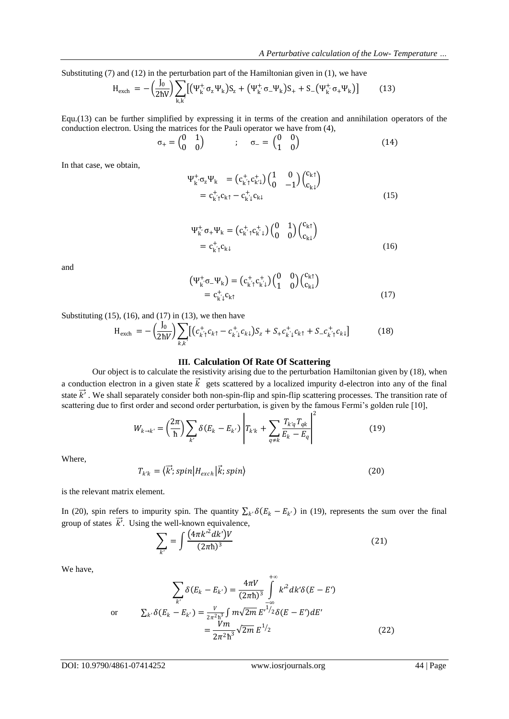Substituting (7) and (12) in the perturbation part of the Hamiltonian given in (1), we have

$$
H_{\text{exch}} = -\left(\frac{J_0}{2\hbar V}\right) \sum_{k,k'} \left[ \left(\Psi_{k'}^{+} \sigma_z \Psi_k\right) S_z + \left(\Psi_{k'}^{+} \sigma_- \Psi_k\right) S_+ + S_-\left(\Psi_{k'}^{+} \sigma_+ \Psi_k\right) \right] \tag{13}
$$

Equ.(13) can be further simplified by expressing it in terms of the creation and annihilation operators of the conduction electron. Using the matrices for the Pauli operator we have from (4),

$$
\sigma_{+} = \begin{pmatrix} 0 & 1 \\ 0 & 0 \end{pmatrix} \qquad ; \qquad \sigma_{-} = \begin{pmatrix} 0 & 0 \\ 1 & 0 \end{pmatrix} \tag{14}
$$

In that case, we obtain,

$$
\Psi_{k}^{+}\sigma_{z}\Psi_{k} = (c_{k'1}^{+}c_{k'1}^{+})(\begin{matrix} 1 & 0 \\ 0 & -1 \end{matrix})(\begin{matrix} c_{k1}^{+} \\ c_{k1}^{+} \end{matrix})
$$

$$
= c_{k'1}^{+}c_{k1}^{+} - c_{k'1}^{+}c_{k1}
$$
(15)

$$
\Psi_{k}^{+}, \sigma_{+}\Psi_{k} = (c_{k}^{+}, c_{k}^{+}) \begin{pmatrix} 0 & 1 \\ 0 & 0 \end{pmatrix} \begin{pmatrix} c_{k} \uparrow \\ c_{k} \downarrow \end{pmatrix}
$$

$$
= c_{k}^{+}, c_{k} \downarrow \qquad (16)
$$

and

$$
\begin{aligned} \left(\Psi_{k}^{+}\sigma_{-}\Psi_{k}\right) &= \left(c_{k'1}^{+}c_{k'1}^{+}\right)\begin{pmatrix} 0 & 0\\ 1 & 0 \end{pmatrix}\begin{pmatrix} c_{k1} \\ c_{k1} \end{pmatrix} \\ &= c_{k'1}^{+}c_{k1} \end{aligned} \tag{17}
$$

Substituting  $(15)$ ,  $(16)$ , and  $(17)$  in  $(13)$ , we then have

$$
H_{\text{exch}} = -\left(\frac{J_0}{2\hbar V}\right) \sum_{k,k'} \left[ \left(c_{k'\uparrow}^+ c_{k\uparrow} - c_{k'\downarrow}^+ c_{k\downarrow} \right) S_z + S_+ c_{k'\downarrow}^+ c_{k\uparrow} + S_- c_{k'\uparrow}^+ c_{k\downarrow} \right] \tag{18}
$$

#### **III. Calculation Of Rate Of Scattering**

Our object is to calculate the resistivity arising due to the perturbation Hamiltonian given by (18), when a conduction electron in a given state  $\vec{k}$  gets scattered by a localized impurity d-electron into any of the final state  $\vec{k'}$ . We shall separately consider both non-spin-flip and spin-flip scattering processes. The transition rate of scattering due to first order and second order perturbation, is given by the famous Fermi's golden rule [10],

$$
W_{k \to k'} = \left(\frac{2\pi}{\hbar}\right) \sum_{k'} \delta(E_k - E_{k'}) \left| T_{k'k} + \sum_{q \neq k} \frac{T_{k'q} T_{qk}}{E_k - E_q} \right|^2 \tag{19}
$$

Where,

$$
T_{k'k} = \langle \vec{k'}; spin | H_{exch} | \vec{k}; spin \rangle
$$
\n(20)

is the relevant matrix element.

In (20), spin refers to impurity spin. The quantity  $\sum_{k'} \delta(E_k - E_{k'})$  in (19), represents the sum over the final group of states  $\vec{k'}$ . Using the well-known equivalence,

$$
\sum_{k'} = \int \frac{(4\pi k'^2 dk')V}{(2\pi\hbar)^3}
$$
 (21)

We have,

$$
\sum_{k'} \delta(E_k - E_{k'}) = \frac{4\pi V}{(2\pi\hbar)^3} \int_{-\infty}^{+\infty} k'^2 dk' \delta(E - E')
$$
  
or 
$$
\sum_{k'} \delta(E_k - E_{k'}) = \frac{V}{2\pi^2\hbar^3} \int m\sqrt{2m} E^{1/2} \delta(E - E') dE'
$$

$$
= \frac{Vm}{2\pi^2\hbar^3} \sqrt{2m} E^{1/2}
$$
(22)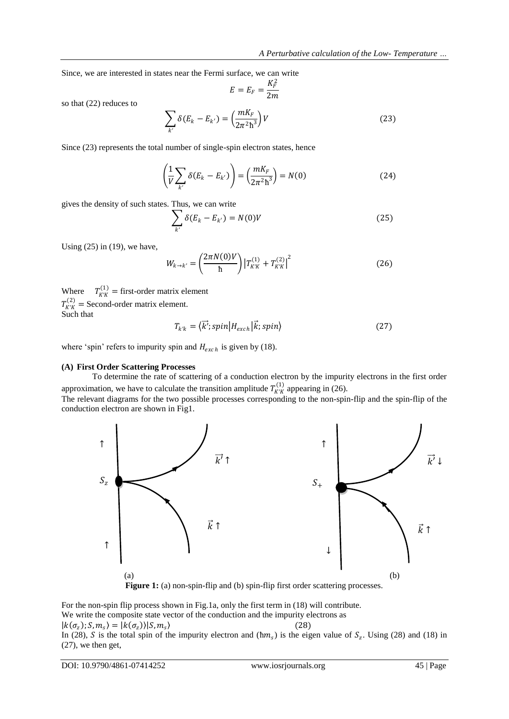Since, we are interested in states near the Fermi surface, we can write

$$
E = E_F = \frac{K_F^2}{2m}
$$

so that (22) reduces to

$$
\sum_{k'} \delta(E_k - E_{k'}) = \left(\frac{mK_F}{2\pi^2\hbar^3}\right)V
$$
\n(23)

Since (23) represents the total number of single-spin electron states, hence

$$
\left(\frac{1}{V}\sum_{k'}\delta(E_k - E_{k'})\right) = \left(\frac{mK_F}{2\pi^2\hbar^3}\right) = N(0)
$$
\n(24)

gives the density of such states. Thus, we can write

$$
\sum_{k'} \delta(E_k - E_{k'}) = N(0)V \tag{25}
$$

Using  $(25)$  in  $(19)$ , we have,

$$
W_{k \to k'} = \left(\frac{2\pi N(0)V}{\hbar}\right) \left|T_{K'K}^{(1)} + T_{K'K}^{(2)}\right|^2 \tag{26}
$$

Where  $T_{K'K}^{(1)} =$  first-order matrix element  $T_{K'K}^{(2)}$  = Second-order matrix element. Such that

$$
T_{k'k} = \langle \vec{k'}; spin | H_{exch} | \vec{k}; spin \rangle
$$
 (27)

where 'spin' refers to impurity spin and  $H_{exch}$  is given by (18).

#### **(A) First Order Scattering Processes**

To determine the rate of scattering of a conduction electron by the impurity electrons in the first order approximation, we have to calculate the transition amplitude  $T_{K'K}^{(1)}$  appearing in (26).

The relevant diagrams for the two possible processes corresponding to the non-spin-flip and the spin-flip of the conduction electron are shown in Fig1.



For the non-spin flip process shown in Fig.1a, only the first term in (18) will contribute. We write the composite state vector of the conduction and the impurity electrons as  $|k(\sigma_z); S, m_s\rangle = |k(\sigma_z)\rangle |S, m_s\rangle$  $\rangle$  (28) In (28), S is the total spin of the impurity electron and  $(\hbar m_s)$  is the eigen value of  $S_z$ . Using (28) and (18) in (27), we then get,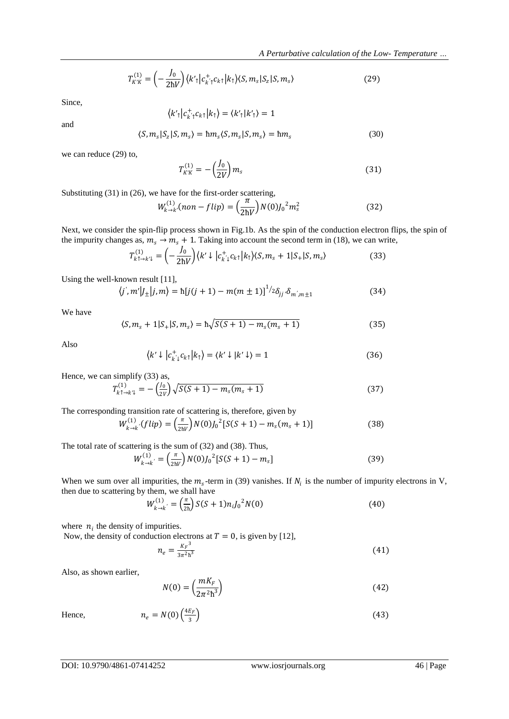$$
T_{K'K}^{(1)} = \left(-\frac{J_0}{2\hbar V}\right) \langle k'_{\uparrow} | c_{k'_{\uparrow}}^{\dagger} c_{k\uparrow} | k_{\uparrow} \rangle \langle S, m_{s} | S_{z} | S, m_{s} \rangle \tag{29}
$$

Since,

$$
\langle k'_{\uparrow} | c^+_{k' \uparrow} c_{k \uparrow} | k_{\uparrow} \rangle = \langle k'_{\uparrow} | k'_{\uparrow} \rangle = 1
$$

and

$$
\langle S, m_s | S_z | S, m_s \rangle = \hbar m_s \langle S, m_s | S, m_s \rangle = \hbar m_s \tag{30}
$$

we can reduce (29) to,

$$
T_{K'K}^{(1)} = -\left(\frac{J_0}{2V}\right)m_s\tag{31}
$$

Substituting (31) in (26), we have for the first-order scattering,

$$
W_{k\to k'}^{(1)}(non-flip) = \left(\frac{\pi}{2\hbar V}\right) N(0) J_0^2 m_s^2
$$
 (32)

Next, we consider the spin-flip process shown in Fig.1b. As the spin of the conduction electron flips, the spin of the impurity changes as,  $m_s \rightarrow m_s + 1$ . Taking into account the second term in (18), we can write,

$$
T_{k\uparrow \to k'\downarrow}^{(1)} = \left(-\frac{J_0}{2\hbar V}\right) \langle k'\downarrow |c_{k'\downarrow}^{\dagger} c_{k\uparrow}|k_{\uparrow} \rangle \langle S, m_s + 1|S_{+}|S, m_s \rangle \tag{33}
$$

Using the well-known result [11],

$$
\langle j', m'|J_{\pm}|j, m \rangle = \hbar [j(j+1) - m(m \pm 1)]^{1/2} \delta_{jj'} \delta_{m', m \pm 1}
$$
 (34)

We have

$$
\langle S, m_s + 1 | S_+ | S, m_s \rangle = h \sqrt{S(S+1) - m_s(m_s + 1)} \tag{35}
$$

Also

$$
\langle k' \downarrow | c_{k' \downarrow}^{\dagger} c_{k \uparrow} | k_{\uparrow} \rangle = \langle k' \downarrow | k' \downarrow \rangle = 1 \tag{36}
$$

Hence, we can simplify (33) as,

$$
T_{k\uparrow \to k'\downarrow}^{(1)} = -\left(\frac{J_0}{2V}\right)\sqrt{S(S+1) - m_s(m_s+1)}\tag{37}
$$

The corresponding transition rate of scattering is, therefore, given by

$$
W_{k \to k}^{(1)}(flip) = \left(\frac{\pi}{2hV}\right) N(0) J_0^2 [S(S+1) - m_s(m_s+1)] \tag{38}
$$

The total rate of scattering is the sum of (32) and (38). Thus,

$$
W_{k \to k'}^{(1)} = \left(\frac{\pi}{2\hbar V}\right) N(0) J_0^2 [S(S+1) - m_s]
$$
\n(39)

When we sum over all impurities, the  $m_s$ -term in (39) vanishes. If  $N_i$  is the number of impurity electrons in V, then due to scattering by them, we shall have

$$
W_{k \to k'}^{(1)} = \left(\frac{\pi}{2h}\right) S(S+1) n_i J_0^2 N(0) \tag{40}
$$

where  $n_i$  the density of impurities.

Now, the density of conduction electrons at  $T = 0$ , is given by [12],  $n_e = \frac{K_F^3}{3\pi^2 h}$  $3\pi^2$ h  $\frac{3}{3}$  (41)

Also, as shown earlier,

$$
N(0) = \left(\frac{mK_F}{2\pi^2\hbar^3}\right) \tag{42}
$$

Hence,

$$
n_e = N(0) \left(\frac{4E_F}{3}\right) \tag{43}
$$

DOI: 10.9790/4861-07414252 www.iosrjournals.org 46 | Page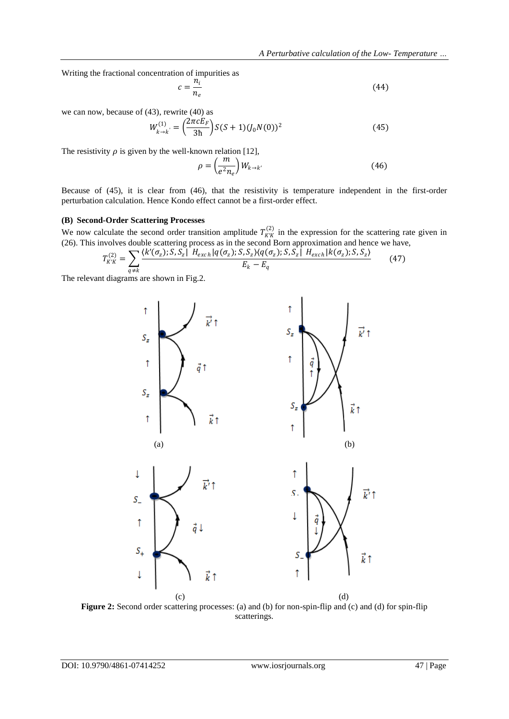Writing the fractional concentration of impurities as

$$
c = \frac{n_i}{n_e} \tag{44}
$$

we can now, because of (43), rewrite (40) as

$$
W_{k \to k'}^{(1)} = \left(\frac{2\pi c E_F}{3h}\right) S(S+1) (J_0 N(0))^2
$$
 (45)

The resistivity  $\rho$  is given by the well-known relation [12],

$$
\rho = \left(\frac{m}{e^2 n_e}\right) W_{k \to k'} \tag{46}
$$

Because of (45), it is clear from (46), that the resistivity is temperature independent in the first-order perturbation calculation. Hence Kondo effect cannot be a first-order effect.

## **(B) Second-Order Scattering Processes**

We now calculate the second order transition amplitude  $T_{K'K}^{(2)}$  in the expression for the scattering rate given in (26). This involves double scattering process as in the second Born approximation and hence we have,

$$
T_{K'K}^{(2)} = \sum_{q \neq k} \frac{\langle k'(\sigma_z); S, S_z | H_{exch} | q(\sigma_z); S, S_z \rangle \langle q(\sigma_z); S, S_z | H_{exch} | k(\sigma_z); S, S_z \rangle}{E_k - E_q}
$$
(47)

The relevant diagrams are shown in Fig.2.



**Figure 2:** Second order scattering processes: (a) and (b) for non-spin-flip and (c) and (d) for spin-flip scatterings.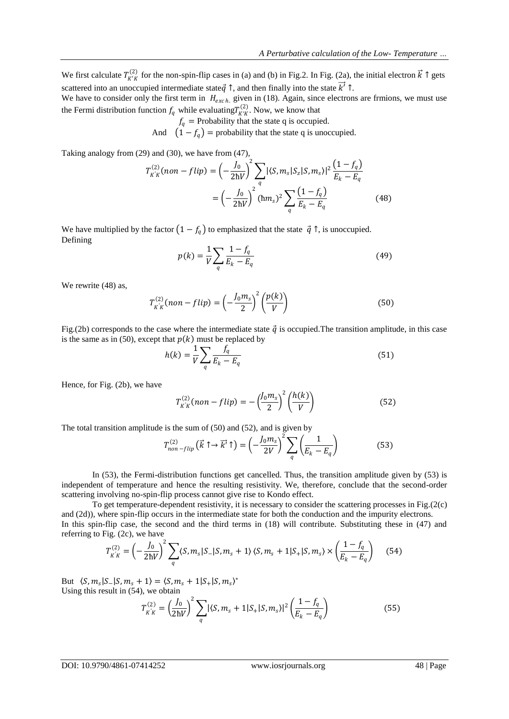We first calculate  $T_{K'K}^{(2)}$  for the non-spin-flip cases in (a) and (b) in Fig. 2. In Fig. (2a), the initial electron  $\vec{k} \uparrow$  gets scattered into an unoccupied intermediate state  $\vec{q}$   $\uparrow$ , and then finally into the state  $\vec{k'}$   $\uparrow$ .

We have to consider only the first term in  $H_{\text{exch}}$  given in (18). Again, since electrons are frmions, we must use the Fermi distribution function  $f_q$  while evaluating  $T^{(2)}_{K'K}$ . Now, we know that

 $f_q$  = Probability that the state q is occupied.

And  $(1 - f_q)$  = probability that the state q is unoccupied.

Taking analogy from (29) and (30), we have from (47),

$$
T_{K'K}^{(2)}(non-flip) = \left(-\frac{J_0}{2\hbar V}\right)^2 \sum_{q} |\langle S, m_s | S_z | S, m_s \rangle|^2 \frac{(1 - f_q)}{E_k - E_q}
$$

$$
= \left(-\frac{J_0}{2\hbar V}\right)^2 (\hbar m_s)^2 \sum_{q} \frac{(1 - f_q)}{E_k - E_q}
$$
(48)

We have multiplied by the factor  $(1 - f_a)$  to emphasized that the state  $\vec{q}$   $\uparrow$ , is unoccupied. Defining

$$
p(k) = \frac{1}{V} \sum_{q} \frac{1 - f_q}{E_k - E_q}
$$
(49)

We rewrite (48) as,

$$
T_{K'K}^{(2)}(non-flip) = \left(-\frac{J_0 m_s}{2}\right)^2 \left(\frac{p(k)}{V}\right)
$$
 (50)

Fig.(2b) corresponds to the case where the intermediate state  $\vec{q}$  is occupied. The transition amplitude, in this case is the same as in (50), except that  $p(k)$  must be replaced by

$$
h(k) = \frac{1}{V} \sum_{q} \frac{f_q}{E_k - E_q} \tag{51}
$$

Hence, for Fig. (2b), we have

$$
T_{K'K}^{(2)}(non-flip) = -\left(\frac{J_0 m_s}{2}\right)^2 \left(\frac{h(k)}{V}\right)
$$
 (52)

The total transition amplitude is the sum of (50) and (52), and is given by

$$
T_{non-flip}^{(2)}\left(\vec{k}\uparrow\to\vec{k'}\uparrow\right) = \left(-\frac{J_0 m_s}{2V}\right)^2 \sum_q \left(\frac{1}{E_k - E_q}\right) \tag{53}
$$

In (53), the Fermi-distribution functions get cancelled. Thus, the transition amplitude given by (53) is independent of temperature and hence the resulting resistivity. We, therefore, conclude that the second-order scattering involving no-spin-flip process cannot give rise to Kondo effect.

To get temperature-dependent resistivity, it is necessary to consider the scattering processes in Fig.(2(c) and (2d)), where spin-flip occurs in the intermediate state for both the conduction and the impurity electrons. In this spin-flip case, the second and the third terms in (18) will contribute. Substituting these in (47) and referring to Fig. (2c), we have

$$
T_{K'K}^{(2)} = \left(-\frac{J_0}{2\hbar V}\right)^2 \sum_{q} \langle S, m_s | S_- | S, m_s + 1 \rangle \langle S, m_s + 1 | S_+ | S, m_s \rangle \times \left(\frac{1 - f_q}{E_k - E_q}\right) \tag{54}
$$

But  $\langle S, m_s | S_- | S, m_s + 1 \rangle = \langle S, m_s + 1 | S_+ | S, m_s \rangle^*$ Using this result in (54), we obtain

$$
T_{K'K}^{(2)} = \left(\frac{J_0}{2\hbar V}\right)^2 \sum_{q} |\langle S, m_s + 1|S_+|S, m_s \rangle|^2 \left(\frac{1 - f_q}{E_k - E_q}\right)
$$
(55)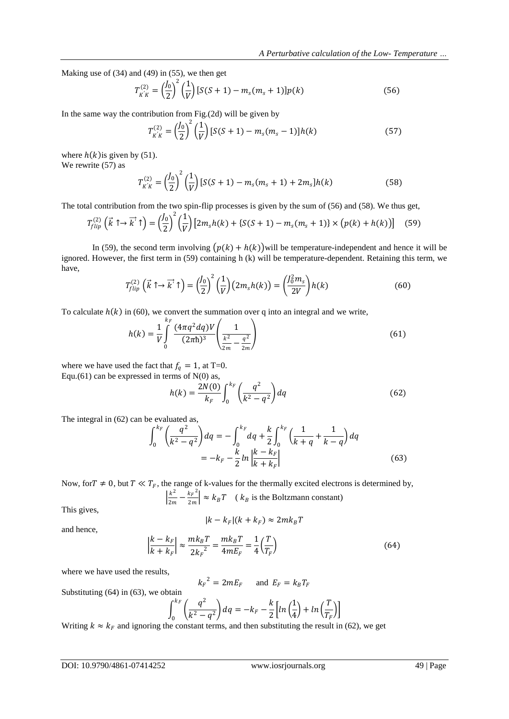Making use of (34) and (49) in (55), we then get

$$
T_{K'K}^{(2)} = \left(\frac{J_0}{2}\right)^2 \left(\frac{1}{V}\right) [S(S+1) - m_s(m_s+1)] p(k)
$$
\n(56)

In the same way the contribution from Fig.(2d) will be given by

$$
T_{K'K}^{(2)} = \left(\frac{J_0}{2}\right)^2 \left(\frac{1}{V}\right) [S(S+1) - m_s(m_s - 1)] h(k)
$$
 (57)

where  $h(k)$  is given by (51). We rewrite (57) as

$$
T_{K/K}^{(2)} = \left(\frac{J_0}{2}\right)^2 \left(\frac{1}{V}\right) \left[S(S+1) - m_s(m_s+1) + 2m_s\right] h(k)
$$
 (58)

The total contribution from the two spin-flip processes is given by the sum of (56) and (58). We thus get,

$$
T_{flip}^{(2)}\left(\vec{k}\uparrow\to\overrightarrow{k'}\uparrow\right) = \left(\frac{J_0}{2}\right)^2 \left(\frac{1}{V}\right) \left[2m_s h(k) + \left\{S(S+1) - m_s(m_s+1)\right\} \times \left(p(k) + h(k)\right)\right] \tag{59}
$$

In (59), the second term involving  $(p(k) + h(k))$  will be temperature-independent and hence it will be ignored. However, the first term in (59) containing h (k) will be temperature-dependent. Retaining this term, we have,

$$
T_{flip}^{(2)}\left(\vec{k}\uparrow\rightarrow\vec{k'}\uparrow\right) = \left(\frac{J_0}{2}\right)^2 \left(\frac{1}{V}\right) \left(2m_s h(k)\right) = \left(\frac{J_0^2 m_s}{2V}\right) h(k) \tag{60}
$$

To calculate  $h(k)$  in (60), we convert the summation over q into an integral and we write,

$$
h(k) = \frac{1}{V} \int_{0}^{k_F} \frac{(4\pi q^2 dq)V}{(2\pi\hbar)^3} \left(\frac{1}{\frac{k^2}{2m} - \frac{q^2}{2m}}\right)
$$
(61)

where we have used the fact that  $f_q = 1$ , at T=0. Equ.(61) can be expressed in terms of  $N(0)$  as,

$$
h(k) = \frac{2N(0)}{k_F} \int_0^{k_F} \left(\frac{q^2}{k^2 - q^2}\right) dq
$$
 (62)

The integral in (62) can be evaluated as,

$$
\int_0^{k_F} \left(\frac{q^2}{k^2 - q^2}\right) dq = -\int_0^{k_F} dq + \frac{k}{2} \int_0^{k_F} \left(\frac{1}{k+q} + \frac{1}{k-q}\right) dq
$$
  
=  $-k_F - \frac{k}{2} ln \left| \frac{k-k_F}{k+k_F} \right|$  (63)

Now, for  $T \neq 0$ , but  $T \ll T_F$ , the range of k-values for the thermally excited electrons is determined by,  $\frac{k^2}{2}$  $\frac{k^2}{2m} - \frac{k_F^2}{2m}$  $\frac{k_F}{2m}$   $\approx k_B T$  ( $k_B$  is the Boltzmann constant)

This gives,

$$
|k-k_F|(k+k_F)\approx 2mk_BT
$$

and hence,

$$
\left| \frac{k - k_F}{k + k_F} \right| \approx \frac{mk_B T}{2k_F^2} = \frac{mk_B T}{4mE_F} = \frac{1}{4} \left( \frac{T}{T_F} \right)
$$
(64)

where we have used the results,

$$
k_F^2 = 2mE_F \quad \text{and } E_F = k_B T_F
$$

Substituting (64) in (63), we obtain

$$
\int_0^{k_F} \left(\frac{q^2}{k^2 - q^2}\right) dq = -k_F - \frac{k}{2} \left[ \ln\left(\frac{1}{4}\right) + \ln\left(\frac{T}{T_F}\right) \right]
$$

Writing  $k \approx k_F$  and ignoring the constant terms, and then substituting the result in (62), we get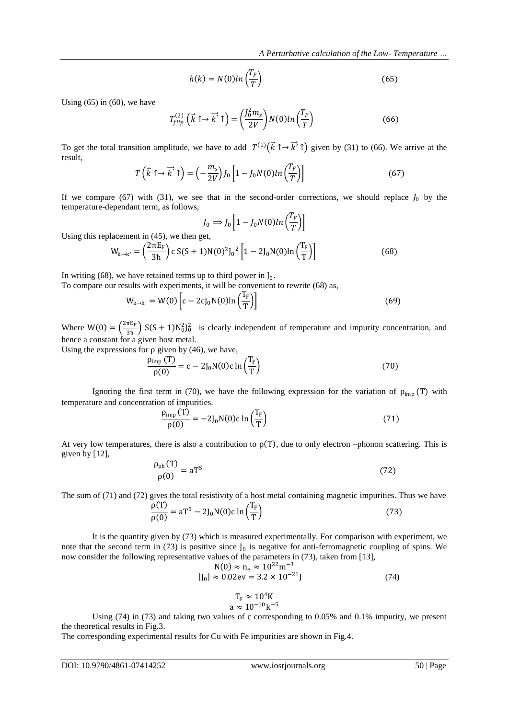$$
h(k) = N(0)ln\left(\frac{T_F}{T}\right)
$$
\n(65)

Using  $(65)$  in  $(60)$ , we have

$$
T_{flip}^{(2)}\left(\vec{k}\uparrow\rightarrow\vec{k'}\uparrow\right) = \left(\frac{J_0^2m_s}{2V}\right)N(0)ln\left(\frac{T_F}{T}\right) \tag{66}
$$

To get the total transition amplitude, we have to add  $T^{(1)}(\vec{k} \uparrow \rightarrow \vec{k'})$  given by (31) to (66). We arrive at the result,

$$
T\left(\vec{k}\uparrow\to\overrightarrow{k}\uparrow\right) = \left(-\frac{m_s}{2V}\right)J_0\left[1 - J_0N(0)ln\left(\frac{T_F}{T}\right)\right]
$$
\n(67)

If we compare (67) with (31), we see that in the second-order corrections, we should replace  $J_0$  by the temperature-dependant term, as follows,

$$
J_0 \Longrightarrow J_0 \left[ 1 - J_0 N(0) \ln \left( \frac{T_F}{T} \right) \right]
$$

Using this replacement in (45), we then get,

$$
W_{k \to k'} = \left(\frac{2\pi E_F}{3h}\right) c S(S+1) N(0)^2 J_0^2 \left[1 - 2J_0 N(0) \ln\left(\frac{T_F}{T}\right)\right]
$$
(68)

In writing (68), we have retained terms up to third power in  $J_0$ .

To compare our results with experiments, it will be convenient to rewrite (68) as,

$$
W_{k \to k'} = W(0) \left[ c - 2c J_0 N(0) \ln \left( \frac{T_F}{T} \right) \right]
$$
 (69)

Where  $W(0) = \left(\frac{2\pi E_F}{R}\right)^n$  $\frac{\pi E_F}{3h}$  S(S + 1)N<sub>0</sub><sup>2</sup>l<sub>0</sub><sup>2</sup> is clearly independent of temperature and impurity concentration, and hence a constant for a given host metal.

Using the expressions for  $\rho$  given by (46), we have,

$$
\frac{\rho_{\text{imp}}(T)}{\rho(0)} = c - 2J_0 N(0)c \ln\left(\frac{T_F}{T}\right)
$$
\n(70)

Ignoring the first term in (70), we have the following expression for the variation of  $\rho_{\rm imp}$  (T) with temperature and concentration of impurities.

$$
\frac{\rho_{\text{imp}}(T)}{\rho(0)} = -2J_0 N(0)c \ln\left(\frac{T_F}{T}\right)
$$
\n(71)

At very low temperatures, there is also a contribution to  $\rho(T)$ , due to only electron –phonon scattering. This is given by [12],

$$
\frac{\rho_{\rm ph}(T)}{\rho(0)} = aT^5 \tag{72}
$$

The sum of (71) and (72) gives the total resistivity of a host metal containing magnetic impurities. Thus we have

$$
\frac{\rho(T)}{\rho(0)} = aT^5 - 2J_0 N(0)c \ln\left(\frac{T_F}{T}\right)
$$
\n(73)

It is the quantity given by (73) which is measured experimentally. For comparison with experiment, we note that the second term in (73) is positive since  $J_0$  is negative for anti-ferromagnetic coupling of spins. We now consider the following representative values of the parameters in (73), taken from [13],

$$
N(0) \approx n_e \approx 10^{22} m^{-3}
$$
  
|J<sub>0</sub>| \approx 0.02ev = 3.2 × 10<sup>-21</sup>J (74)

$$
1_{\rm F} \approx 10^{\circ} \rm K
$$
  

$$
a \approx 10^{-10} \rm k^{-5}
$$

 $\mathbf{z} \cdot \mathbf{z}$ 

Using (74) in (73) and taking two values of c corresponding to 0.05% and 0.1% impurity, we present the theoretical results in Fig.3.

The corresponding experimental results for Cu with Fe impurities are shown in Fig.4.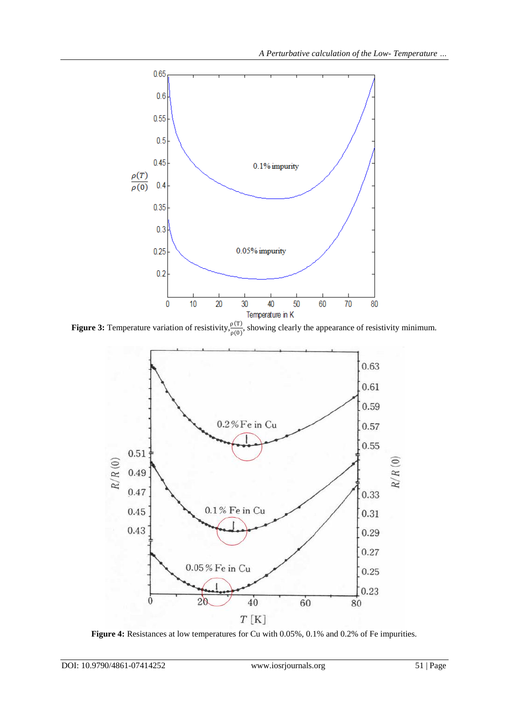

**Figure 3:** Temperature variation of resistivity,  $\frac{\rho(T)}{\rho(0)}$ , showing clearly the appearance of resistivity minimum.



**Figure 4:** Resistances at low temperatures for Cu with 0.05%, 0.1% and 0.2% of Fe impurities.